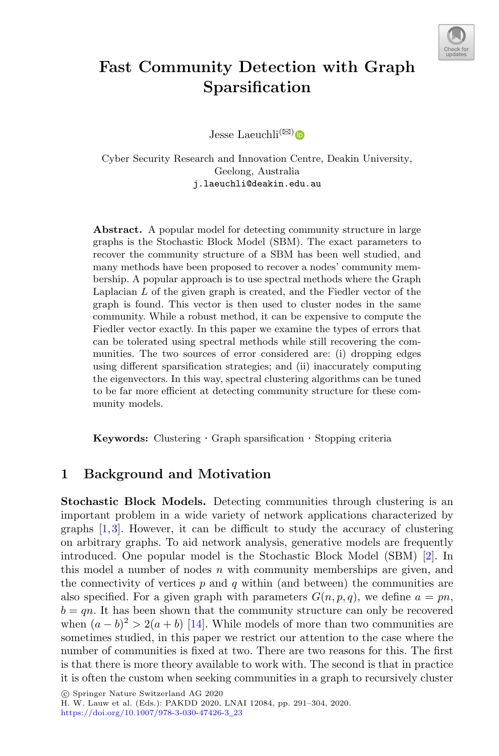

# **Fast Community Detection with Graph Sparsification**

Jesse Laeuchli<sup>( $\boxtimes$ [\)](http://orcid.org/0000-0001-9970-9105)</sup>

Cyber Security Research and Innovation Centre, Deakin University, Geelong, Australia j.laeuchli@deakin.edu.au

**Abstract.** A popular model for detecting community structure in large graphs is the Stochastic Block Model (SBM). The exact parameters to recover the community structure of a SBM has been well studied, and many methods have been proposed to recover a nodes' community membership. A popular approach is to use spectral methods where the Graph Laplacian  $L$  of the given graph is created, and the Fiedler vector of the graph is found. This vector is then used to cluster nodes in the same community. While a robust method, it can be expensive to compute the Fiedler vector exactly. In this paper we examine the types of errors that can be tolerated using spectral methods while still recovering the communities. The two sources of error considered are: (i) dropping edges using different sparsification strategies; and (ii) inaccurately computing the eigenvectors. In this way, spectral clustering algorithms can be tuned to be far more efficient at detecting community structure for these community models.

**Keywords:** Clustering · Graph sparsification · Stopping criteria

# **1 Background and Motivation**

**Stochastic Block Models.** Detecting communities through clustering is an important problem in a wide variety of network applications characterized by graphs [\[1,](#page-12-0)[3\]](#page-12-1). However, it can be difficult to study the accuracy of clustering on arbitrary graphs. To aid network analysis, generative models are frequently introduced. One popular model is the Stochastic Block Model (SBM) [\[2](#page-12-2)]. In this model a number of nodes n with community memberships are given, and the connectivity of vertices  $p$  and  $q$  within (and between) the communities are also specified. For a given graph with parameters  $G(n, p, q)$ , we define  $a = pn$ ,  $b = qn$ . It has been shown that the community structure can only be recovered when  $(a - b)^2 > 2(a + b)$  [\[14\]](#page-13-0). While models of more than two communities are sometimes studied, in this paper we restrict our attention to the case where the number of communities is fixed at two. There are two reasons for this. The first is that there is more theory available to work with. The second is that in practice it is often the custom when seeking communities in a graph to recursively cluster

-c Springer Nature Switzerland AG 2020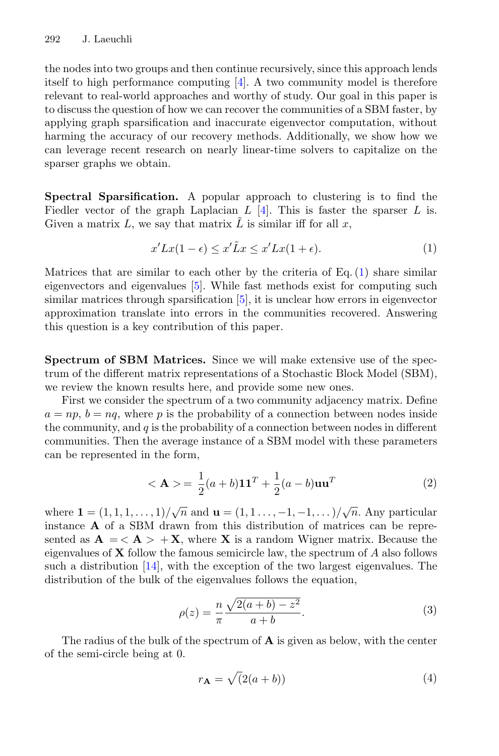the nodes into two groups and then continue recursively, since this approach lends itself to high performance computing [\[4](#page-12-3)]. A two community model is therefore relevant to real-world approaches and worthy of study. Our goal in this paper is to discuss the question of how we can recover the communities of a SBM faster, by applying graph sparsification and inaccurate eigenvector computation, without harming the accuracy of our recovery methods. Additionally, we show how we can leverage recent research on nearly linear-time solvers to capitalize on the sparser graphs we obtain.

**Spectral Sparsification.** A popular approach to clustering is to find the Fiedler vector of the graph Laplacian  $L$  [\[4](#page-12-3)]. This is faster the sparser  $L$  is. Given a matrix  $L$ , we say that matrix  $L$  is similar iff for all  $x$ ,

<span id="page-1-0"></span>
$$
x'Lx(1 - \epsilon) \le x'\tilde{L}x \le x'Lx(1 + \epsilon). \tag{1}
$$

Matrices that are similar to each other by the criteria of Eq. [\(1\)](#page-1-0) share similar eigenvectors and eigenvalues [\[5\]](#page-12-4). While fast methods exist for computing such similar matrices through sparsification [\[5\]](#page-12-4), it is unclear how errors in eigenvector approximation translate into errors in the communities recovered. Answering this question is a key contribution of this paper.

**Spectrum of SBM Matrices.** Since we will make extensive use of the spectrum of the different matrix representations of a Stochastic Block Model (SBM), we review the known results here, and provide some new ones.

First we consider the spectrum of a two community adjacency matrix. Define  $a = np$ ,  $b = nq$ , where p is the probability of a connection between nodes inside the community, and  $q$  is the probability of a connection between nodes in different communities. Then the average instance of a SBM model with these parameters can be represented in the form,

$$
\langle \mathbf{A} \rangle = \frac{1}{2}(a+b)\mathbf{1}\mathbf{1}^T + \frac{1}{2}(a-b)\mathbf{u}\mathbf{u}^T
$$
 (2)

where **1** =  $(1, 1, 1, ..., 1) / \sqrt{n}$  and **u** =  $(1, 1, ..., -1, -1, ...) / \sqrt{n}$ . Any particular instance **A** of a SBM drawn from this distribution of matrices can be represented as  $A = \langle A \rangle + X$ , where X is a random Wigner matrix. Because the eigenvalues of **X** follow the famous semicircle law, the spectrum of A also follows such a distribution [\[14](#page-13-0)], with the exception of the two largest eigenvalues. The distribution of the bulk of the eigenvalues follows the equation,

$$
\rho(z) = \frac{n}{\pi} \frac{\sqrt{2(a+b) - z^2}}{a+b}.
$$
\n(3)

The radius of the bulk of the spectrum of **A** is given as below, with the center of the semi-circle being at 0.

$$
r_{\mathbf{A}} = \sqrt{2(a+b)}\tag{4}
$$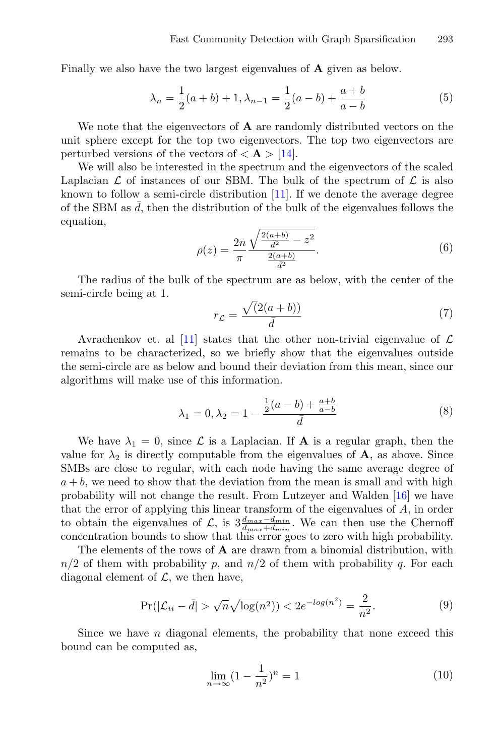Finally we also have the two largest eigenvalues of **A** given as below.

$$
\lambda_n = \frac{1}{2}(a+b) + 1, \lambda_{n-1} = \frac{1}{2}(a-b) + \frac{a+b}{a-b}
$$
 (5)

We note that the eigenvectors of **A** are randomly distributed vectors on the unit sphere except for the top two eigenvectors. The top two eigenvectors are perturbed versions of the vectors of  $\langle \mathbf{A} \rangle$  [\[14](#page-13-0)].

We will also be interested in the spectrum and the eigenvectors of the scaled Laplacian  $\mathcal L$  of instances of our SBM. The bulk of the spectrum of  $\mathcal L$  is also known to follow a semi-circle distribution [\[11\]](#page-13-1). If we denote the average degree of the SBM as  $\bar{d}$ , then the distribution of the bulk of the eigenvalues follows the equation,

$$
\rho(z) = \frac{2n}{\pi} \frac{\sqrt{\frac{2(a+b)}{\bar{d}^2} - z^2}}{\frac{2(a+b)}{\bar{d}^2}}.
$$
\n(6)

The radius of the bulk of the spectrum are as below, with the center of the semi-circle being at 1.

$$
r_{\mathcal{L}} = \frac{\sqrt{(2(a+b))}}{\bar{d}}\tag{7}
$$

Avrachenkov et. al [\[11](#page-13-1)] states that the other non-trivial eigenvalue of  $\mathcal{L}$ remains to be characterized, so we briefly show that the eigenvalues outside the semi-circle are as below and bound their deviation from this mean, since our algorithms will make use of this information.

$$
\lambda_1 = 0, \lambda_2 = 1 - \frac{\frac{1}{2}(a - b) + \frac{a + b}{a - b}}{\bar{d}} \tag{8}
$$

We have  $\lambda_1 = 0$ , since  $\mathcal L$  is a Laplacian. If **A** is a regular graph, then the value for  $\lambda_2$  is directly computable from the eigenvalues of **A**, as above. Since SMBs are close to regular, with each node having the same average degree of  $a + b$ , we need to show that the deviation from the mean is small and with high probability will not change the result. From Lutzeyer and Walden [\[16\]](#page-13-2) we have that the error of applying this linear transform of the eigenvalues of A, in order to obtain the eigenvalues of  $\mathcal{L}$ , is  $3 \frac{d_{max}-d_{min}}{d_{max}+d_{min}}$ . We can then use the Chernoff concentration bounds to show that this error goes to zero with high probability.

The elements of the rows of **A** are drawn from a binomial distribution, with  $n/2$  of them with probability p, and  $n/2$  of them with probability q. For each diagonal element of  $\mathcal{L}$ , we then have,

$$
\Pr(|\mathcal{L}_{ii} - \bar{d}| > \sqrt{n}\sqrt{\log(n^2)} ) < 2e^{-\log(n^2)} = \frac{2}{n^2}.
$$
 (9)

Since we have *n* diagonal elements, the probability that none exceed this bound can be computed as,

$$
\lim_{n \to \infty} (1 - \frac{1}{n^2})^n = 1
$$
\n(10)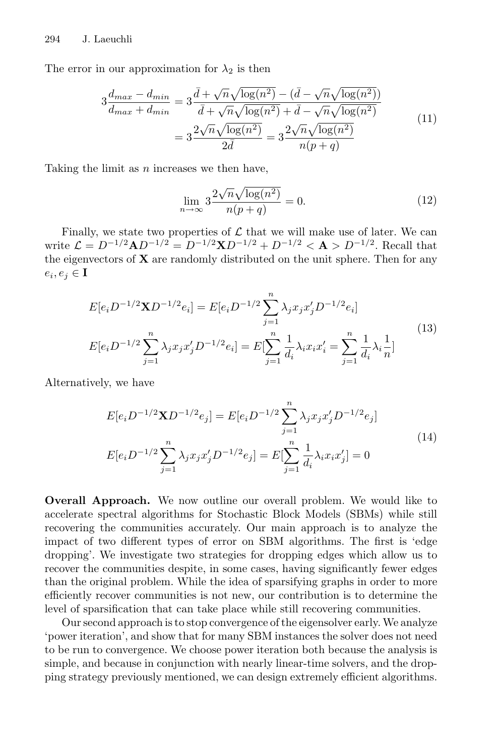The error in our approximation for  $\lambda_2$  is then

$$
3\frac{d_{max} - d_{min}}{d_{max} + d_{min}} = 3\frac{\bar{d} + \sqrt{n}\sqrt{\log(n^2)} - (\bar{d} - \sqrt{n}\sqrt{\log(n^2)})}{\bar{d} + \sqrt{n}\sqrt{\log(n^2)} + \bar{d} - \sqrt{n}\sqrt{\log(n^2)}}\n= 3\frac{2\sqrt{n}\sqrt{\log(n^2)}}{2\bar{d}} = 3\frac{2\sqrt{n}\sqrt{\log(n^2)}}{n(p+q)}
$$
\n(11)

Taking the limit as  $n$  increases we then have,

<span id="page-3-0"></span>
$$
\lim_{n \to \infty} 3 \frac{2\sqrt{n}\sqrt{\log(n^2)}}{n(p+q)} = 0.
$$
\n(12)

Finally, we state two properties of  $\mathcal L$  that we will make use of later. We can write  $\mathcal{L} = D^{-1/2}AD^{-1/2} = D^{-1/2}XD^{-1/2} + D^{-1/2} < A > D^{-1/2}$ . Recall that the eigenvectors of **X** are randomly distributed on the unit sphere. Then for any  $e_i, e_j \in \mathbf{I}$ 

$$
E[e_i D^{-1/2} \mathbf{X} D^{-1/2} e_i] = E[e_i D^{-1/2} \sum_{j=1}^n \lambda_j x_j x'_j D^{-1/2} e_i]
$$
  
\n
$$
E[e_i D^{-1/2} \sum_{j=1}^n \lambda_j x_j x'_j D^{-1/2} e_i] = E[\sum_{j=1}^n \frac{1}{d_i} \lambda_i x_i x'_i = \sum_{j=1}^n \frac{1}{d_i} \lambda_i \frac{1}{n}]
$$
\n(13)

Alternatively, we have

$$
E[e_i D^{-1/2} \mathbf{X} D^{-1/2} e_j] = E[e_i D^{-1/2} \sum_{j=1}^n \lambda_j x_j x'_j D^{-1/2} e_j]
$$
  
\n
$$
E[e_i D^{-1/2} \sum_{j=1}^n \lambda_j x_j x'_j D^{-1/2} e_j] = E[\sum_{j=1}^n \frac{1}{d_i} \lambda_i x_i x'_j] = 0
$$
\n(14)

**Overall Approach.** We now outline our overall problem. We would like to accelerate spectral algorithms for Stochastic Block Models (SBMs) while still recovering the communities accurately. Our main approach is to analyze the impact of two different types of error on SBM algorithms. The first is 'edge dropping'. We investigate two strategies for dropping edges which allow us to recover the communities despite, in some cases, having significantly fewer edges than the original problem. While the idea of sparsifying graphs in order to more efficiently recover communities is not new, our contribution is to determine the level of sparsification that can take place while still recovering communities.

Our second approach is to stop convergence of the eigensolver early. We analyze 'power iteration', and show that for many SBM instances the solver does not need to be run to convergence. We choose power iteration both because the analysis is simple, and because in conjunction with nearly linear-time solvers, and the dropping strategy previously mentioned, we can design extremely efficient algorithms.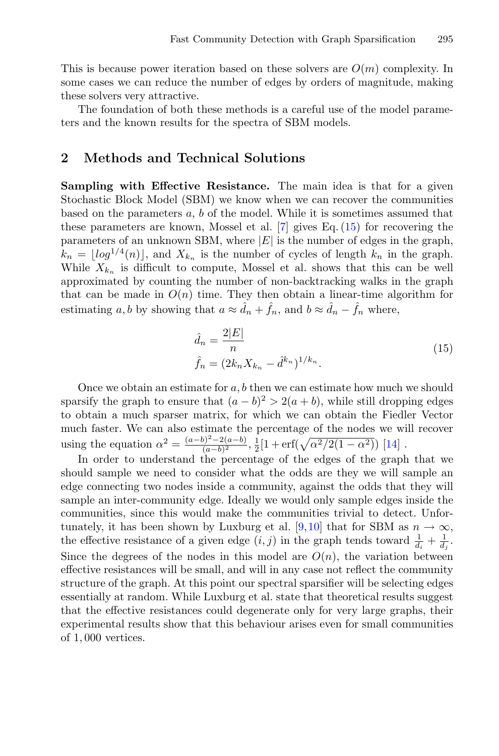This is because power iteration based on these solvers are  $O(m)$  complexity. In some cases we can reduce the number of edges by orders of magnitude, making these solvers very attractive.

The foundation of both these methods is a careful use of the model parameters and the known results for the spectra of SBM models.

### <span id="page-4-1"></span>**2 Methods and Technical Solutions**

**Sampling with Effective Resistance.** The main idea is that for a given Stochastic Block Model (SBM) we know when we can recover the communities based on the parameters a, b of the model. While it is sometimes assumed that these parameters are known, Mossel et al. [\[7\]](#page-13-3) gives Eq. [\(15\)](#page-4-0) for recovering the parameters of an unknown SBM, where  $|E|$  is the number of edges in the graph,  $k_n = |log^{1/4}(n)|$ , and  $X_{k_n}$  is the number of cycles of length  $k_n$  in the graph. While  $X_{k_n}$  is difficult to compute, Mossel et al. shows that this can be well approximated by counting the number of non-backtracking walks in the graph that can be made in  $O(n)$  time. They then obtain a linear-time algorithm for estimating a, b by showing that  $a \approx \hat{d}_n + \hat{f}_n$ , and  $b \approx \hat{d}_n - \hat{f}_n$  where,

<span id="page-4-0"></span>
$$
\hat{d}_n = \frac{2|E|}{n} \n\hat{f}_n = (2k_n X_{k_n} - \hat{d}^{k_n})^{1/k_n}.
$$
\n(15)

Once we obtain an estimate for  $a, b$  then we can estimate how much we should sparsify the graph to ensure that  $(a - b)^2 > 2(a + b)$ , while still dropping edges to obtain a much sparser matrix, for which we can obtain the Fiedler Vector much faster. We can also estimate the percentage of the nodes we will recover using the equation  $\alpha^2 = \frac{(a-b)^2 - 2(a-b)}{(a-b)^2}$ ,  $\frac{1}{2}[1 + \text{erf}(\sqrt{\alpha^2/2(1-\alpha^2)})$  [\[14](#page-13-0)].

In order to understand the percentage of the edges of the graph that we should sample we need to consider what the odds are they we will sample an edge connecting two nodes inside a community, against the odds that they will sample an inter-community edge. Ideally we would only sample edges inside the communities, since this would make the communities trivial to detect. Unfor-tunately, it has been shown by Luxburg et al. [\[9](#page-13-4)[,10](#page-13-5)] that for SBM as  $n \to \infty$ , the effective resistance of a given edge  $(i, j)$  in the graph tends toward  $\frac{1}{d_i} + \frac{1}{d_j}$ . Since the degrees of the nodes in this model are  $O(n)$ , the variation between effective resistances will be small, and will in any case not reflect the community structure of the graph. At this point our spectral sparsifier will be selecting edges essentially at random. While Luxburg et al. state that theoretical results suggest that the effective resistances could degenerate only for very large graphs, their experimental results show that this behaviour arises even for small communities of 1, 000 vertices.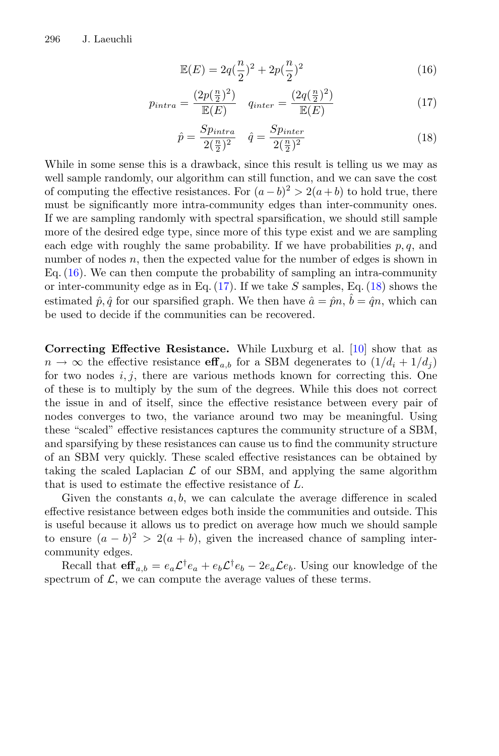<span id="page-5-0"></span>
$$
\mathbb{E}(E) = 2q(\frac{n}{2})^2 + 2p(\frac{n}{2})^2
$$
\n(16)

<span id="page-5-1"></span>
$$
p_{intra} = \frac{(2p(\frac{n}{2})^2)}{\mathbb{E}(E)} \quad q_{inter} = \frac{(2q(\frac{n}{2})^2)}{\mathbb{E}(E)} \tag{17}
$$

<span id="page-5-2"></span>
$$
\hat{p} = \frac{Sp_{intra}}{2(\frac{n}{2})^2} \quad \hat{q} = \frac{Sp_{inter}}{2(\frac{n}{2})^2} \tag{18}
$$

While in some sense this is a drawback, since this result is telling us we may as well sample randomly, our algorithm can still function, and we can save the cost of computing the effective resistances. For  $(a - b)^2 > 2(a + b)$  to hold true, there must be significantly more intra-community edges than inter-community ones. If we are sampling randomly with spectral sparsification, we should still sample more of the desired edge type, since more of this type exist and we are sampling each edge with roughly the same probability. If we have probabilities  $p, q$ , and number of nodes  $n$ , then the expected value for the number of edges is shown in Eq.  $(16)$ . We can then compute the probability of sampling an intra-community or inter-community edge as in Eq.  $(17)$ . If we take S samples, Eq.  $(18)$  shows the estimated  $\hat{p}, \hat{q}$  for our sparsified graph. We then have  $\hat{a} = \hat{p}n$ ,  $\hat{b} = \hat{q}n$ , which can be used to decide if the communities can be recovered.

**Correcting Effective Resistance.** While Luxburg et al. [\[10\]](#page-13-5) show that as  $n \to \infty$  the effective resistance  $\textbf{eff}_{a,b}$  for a SBM degenerates to  $(1/d_i + 1/d_i)$ for two nodes  $i, j$ , there are various methods known for correcting this. One of these is to multiply by the sum of the degrees. While this does not correct the issue in and of itself, since the effective resistance between every pair of nodes converges to two, the variance around two may be meaningful. Using these "scaled" effective resistances captures the community structure of a SBM, and sparsifying by these resistances can cause us to find the community structure of an SBM very quickly. These scaled effective resistances can be obtained by taking the scaled Laplacian  $\mathcal L$  of our SBM, and applying the same algorithm that is used to estimate the effective resistance of L.

Given the constants  $a, b$ , we can calculate the average difference in scaled effective resistance between edges both inside the communities and outside. This is useful because it allows us to predict on average how much we should sample to ensure  $(a - b)^2 > 2(a + b)$ , given the increased chance of sampling intercommunity edges.

Recall that  $\mathbf{eff}_{a,b} = e_a \mathcal{L}^{\dagger} e_a + e_b \mathcal{L}^{\dagger} e_b - 2e_a \mathcal{L} e_b$ . Using our knowledge of the spectrum of  $\mathcal{L}$ , we can compute the average values of these terms.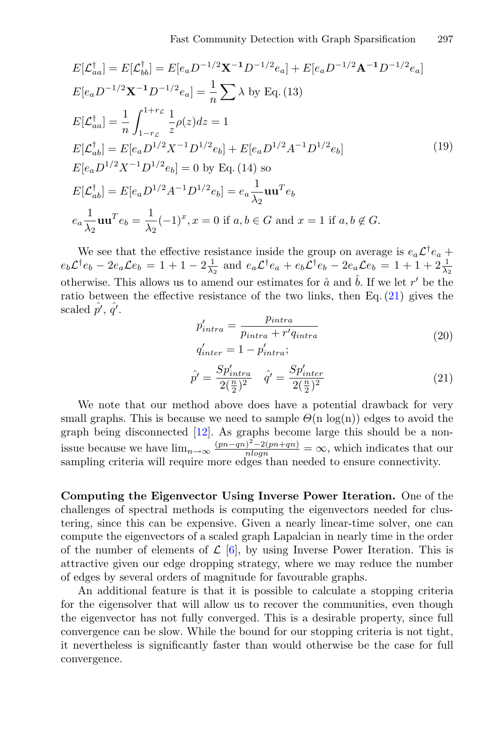$$
E[\mathcal{L}_{aa}^{\dagger}] = E[\mathcal{L}_{bb}^{\dagger}] = E[e_a D^{-1/2} \mathbf{X}^{-1} D^{-1/2} e_a] + E[e_a D^{-1/2} \mathbf{A}^{-1} D^{-1/2} e_a]
$$
  
\n
$$
E[e_a D^{-1/2} \mathbf{X}^{-1} D^{-1/2} e_a] = \frac{1}{n} \sum \lambda \text{ by Eq. (13)}
$$
  
\n
$$
E[\mathcal{L}_{aa}^{\dagger}] = \frac{1}{n} \int_{1-r_L}^{1+r_L} \frac{1}{z} \rho(z) dz = 1
$$
  
\n
$$
E[\mathcal{L}_{ab}^{\dagger}] = E[e_a D^{1/2} X^{-1} D^{1/2} e_b] + E[e_a D^{1/2} A^{-1} D^{1/2} e_b]
$$
  
\n
$$
E[e_a D^{1/2} X^{-1} D^{1/2} e_b] = 0 \text{ by Eq. (14) so}
$$
  
\n
$$
E[\mathcal{L}_{ab}^{\dagger}] = E[e_a D^{1/2} A^{-1} D^{1/2} e_b] = e_a \frac{1}{\lambda_2} \mathbf{u} \mathbf{u}^T e_b
$$
  
\n
$$
e_a \frac{1}{\lambda_2} \mathbf{u} \mathbf{u}^T e_b = \frac{1}{\lambda_2} (-1)^x, x = 0 \text{ if } a, b \in G \text{ and } x = 1 \text{ if } a, b \notin G.
$$
 (14)

We see that the effective resistance inside the group on average is  $e_a\mathcal{L}^\dagger e_a$  +  $e_b\mathcal{L}^\dagger e_b - 2e_a\mathcal{L}e_b = 1 + 1 - 2\frac{1}{\lambda_2}$  and  $e_a\mathcal{L}^\dagger e_a + e_b\mathcal{L}^\dagger e_b - 2e_a\mathcal{L}e_b = 1 + 1 + 2\frac{1}{\lambda_2}$ otherwise. This allows us to amend our estimates for  $\hat{a}$  and  $\hat{b}$ . If we let r' be the ratio between the effective resistance of the two links, then Eq. [\(21\)](#page-6-0) gives the scaled  $\hat{p'}$ ,  $\hat{q'}$ .

$$
p'_{intra} = \frac{p_{intra}}{p_{intra} + r'q_{intra}}
$$
  
\n
$$
q'_{inter} = 1 - p'_{intra};
$$
\n(20)

<span id="page-6-0"></span>
$$
\hat{p'} = \frac{Sp'_{intra}}{2(\frac{n}{2})^2} \quad \hat{q'} = \frac{Sp'_{inter}}{2(\frac{n}{2})^2} \tag{21}
$$

We note that our method above does have a potential drawback for very small graphs. This is because we need to sample  $\Theta(n \log(n))$  edges to avoid the graph being disconnected [\[12\]](#page-13-6). As graphs become large this should be a nonissue because we have  $\lim_{n\to\infty} \frac{(pn-qn)^2-2(pn+qn)}{n\log n} = \infty$ , which indicates that our sampling criteria will require more edges than needed to ensure connectivity.

**Computing the Eigenvector Using Inverse Power Iteration.** One of the challenges of spectral methods is computing the eigenvectors needed for clustering, since this can be expensive. Given a nearly linear-time solver, one can compute the eigenvectors of a scaled graph Lapalcian in nearly time in the order of the number of elements of  $\mathcal{L}$  [\[6\]](#page-12-5), by using Inverse Power Iteration. This is attractive given our edge dropping strategy, where we may reduce the number of edges by several orders of magnitude for favourable graphs.

An additional feature is that it is possible to calculate a stopping criteria for the eigensolver that will allow us to recover the communities, even though the eigenvector has not fully converged. This is a desirable property, since full convergence can be slow. While the bound for our stopping criteria is not tight, it nevertheless is significantly faster than would otherwise be the case for full convergence.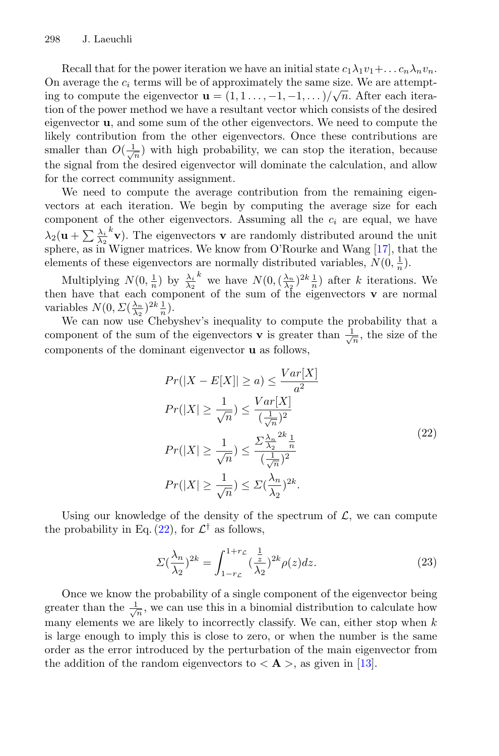Recall that for the power iteration we have an initial state  $c_1\lambda_1v_1+\ldots c_n\lambda_nv_n$ . On average the  $c_i$  terms will be of approximately the same size. We are attempting to compute the eigenvector  $\mathbf{u} = (1, 1, \ldots, -1, -1, \ldots) / \sqrt{n}$ . After each iteration of the power method we have a resultant vector which consists of the desired eigenvector **u**, and some sum of the other eigenvectors. We need to compute the likely contribution from the other eigenvectors. Once these contributions are smaller than  $O(\frac{1}{\sqrt{n}})$  with high probability, we can stop the iteration, because the signal from the desired eigenvector will dominate the calculation, and allow for the correct community assignment.

We need to compute the average contribution from the remaining eigenvectors at each iteration. We begin by computing the average size for each component of the other eigenvectors. Assuming all the  $c_i$  are equal, we have  $\lambda_2(\mathbf{u}+\sum \frac{\lambda_i}{\lambda_2})$  $k$ **v**). The eigenvectors **v** are randomly distributed around the unit sphere, as in Wigner matrices. We know from O'Rourke and Wang [\[17\]](#page-13-7), that the elements of these eigenvectors are normally distributed variables,  $N(0, \frac{1}{n})$ .

Multiplying  $N(0, \frac{1}{n})$  by  $\frac{\lambda_i}{\lambda_2}^k$  we have  $N(0, (\frac{\lambda_n}{\lambda_2})^{2k} \frac{1}{n})$  after k iterations. We then have that each component of the sum of the eigenvectors **v** are normal variables  $N(0, \Sigma(\frac{\lambda_n}{\lambda_2})^{2k}\frac{1}{n}).$ 

We can now use Chebyshev's inequality to compute the probability that a component of the sum of the eigenvectors **v** is greater than  $\frac{1}{\sqrt{n}}$ , the size of the components of the dominant eigenvector **u** as follows,

<span id="page-7-0"></span>
$$
Pr(|X - E[X]| \ge a) \le \frac{Var[X]}{a^2}
$$
  
\n
$$
Pr(|X| \ge \frac{1}{\sqrt{n}}) \le \frac{Var[X]}{(\frac{1}{\sqrt{n}})^2}
$$
  
\n
$$
Pr(|X| \ge \frac{1}{\sqrt{n}}) \le \frac{\sum_{\lambda_2}^{\lambda_2} \frac{2k}{n}}{(\frac{1}{\sqrt{n}})^2}
$$
  
\n
$$
Pr(|X| \ge \frac{1}{\sqrt{n}}) \le \Sigma(\frac{\lambda_n}{\lambda_2})^{2k}.
$$
\n(22)

Using our knowledge of the density of the spectrum of  $\mathcal{L}$ , we can compute the probability in Eq.  $(22)$ , for  $\mathcal{L}^{\dagger}$  as follows,

$$
\Sigma \left(\frac{\lambda_n}{\lambda_2}\right)^{2k} = \int_{1-r_{\mathcal{L}}}^{1+r_{\mathcal{L}}} \left(\frac{\frac{1}{z}}{\lambda_2}\right)^{2k} \rho(z) dz.
$$
 (23)

Once we know the probability of a single component of the eigenvector being greater than the  $\frac{1}{\sqrt{n}}$ , we can use this in a binomial distribution to calculate how many elements we are likely to incorrectly classify. We can, either stop when  $k$ is large enough to imply this is close to zero, or when the number is the same order as the error introduced by the perturbation of the main eigenvector from the addition of the random eigenvectors to  $\langle \mathbf{A} \rangle$ , as given in [\[13](#page-13-8)].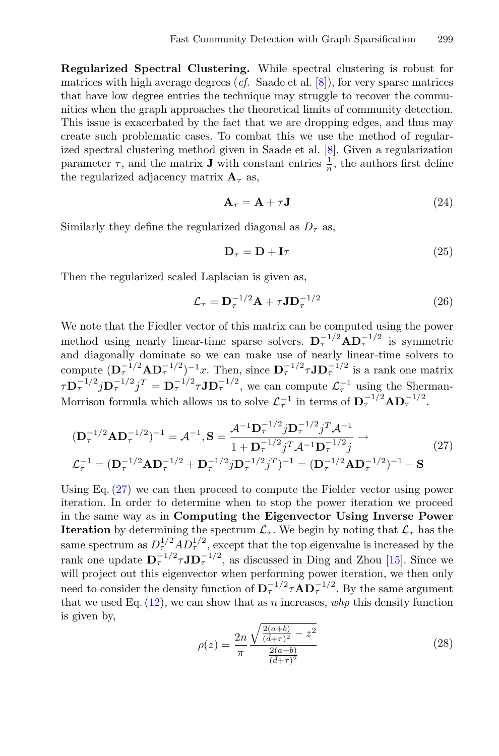**Regularized Spectral Clustering.** While spectral clustering is robust for matrices with high average degrees (*cf.* Saade et al. [\[8\]](#page-13-9)), for very sparse matrices that have low degree entries the technique may struggle to recover the communities when the graph approaches the theoretical limits of community detection. This issue is exacerbated by the fact that we are dropping edges, and thus may create such problematic cases. To combat this we use the method of regularized spectral clustering method given in Saade et al. [\[8](#page-13-9)]. Given a regularization parameter  $\tau$ , and the matrix **J** with constant entries  $\frac{1}{n}$ , the authors first define the regularized adjacency matrix  $\mathbf{A}_{\tau}$  as,

$$
\mathbf{A}_{\tau} = \mathbf{A} + \tau \mathbf{J} \tag{24}
$$

Similarly they define the regularized diagonal as  $D<sub>\tau</sub>$  as,

$$
\mathbf{D}_{\tau} = \mathbf{D} + \mathbf{I}\tau \tag{25}
$$

Then the regularized scaled Laplacian is given as,

<span id="page-8-1"></span>
$$
\mathcal{L}_{\tau} = \mathbf{D}_{\tau}^{-1/2} \mathbf{A} + \tau \mathbf{J} \mathbf{D}_{\tau}^{-1/2} \tag{26}
$$

We note that the Fiedler vector of this matrix can be computed using the power method using nearly linear-time sparse solvers.  $D_{\tau}^{-1/2}AD_{\tau}^{-1/2}$  is symmetric and diagonally dominate so we can make use of nearly linear-time solvers to compute  $(\mathbf{D}_{\tau}^{-1/2} \mathbf{A} \mathbf{D}_{\tau}^{-1/2})^{-1} x$ . Then, since  $\mathbf{D}_{\tau}^{-1/2} \tau \mathbf{J} \mathbf{D}_{\tau}^{-1/2}$  is a rank one matrix  $\tau \mathbf{D}_{\tau}^{-1/2} j \mathbf{D}_{\tau}^{-1/2} j^T = \mathbf{D}_{\tau}^{-1/2} \tau \mathbf{J} \mathbf{D}_{\tau}^{-1/2}$ , we can compute  $\mathcal{L}_{\tau}^{-1}$  using the Sherman-Morrison formula which allows us to solve  $\mathcal{L}_{\tau}^{-1}$  in terms of  $\mathbf{D}_{\tau}^{-1/2} \mathbf{A} \mathbf{D}_{\tau}^{-1/2}$ .

<span id="page-8-0"></span>
$$
(\mathbf{D}_{\tau}^{-1/2} \mathbf{A} \mathbf{D}_{\tau}^{-1/2})^{-1} = \mathcal{A}^{-1}, \mathbf{S} = \frac{\mathcal{A}^{-1} \mathbf{D}_{\tau}^{-1/2} j \mathbf{D}_{\tau}^{-1/2} j^T \mathcal{A}^{-1}}{1 + \mathbf{D}_{\tau}^{-1/2} j^T \mathcal{A}^{-1} \mathbf{D}_{\tau}^{-1/2} j} \rightarrow
$$
  

$$
\mathcal{L}_{\tau}^{-1} = (\mathbf{D}_{\tau}^{-1/2} \mathbf{A} \mathbf{D}_{\tau}^{-1/2} + \mathbf{D}_{\tau}^{-1/2} j \mathbf{D}_{\tau}^{-1/2} j^T)^{-1} = (\mathbf{D}_{\tau}^{-1/2} \mathbf{A} \mathbf{D}_{\tau}^{-1/2})^{-1} - \mathbf{S}
$$
(27)

Using Eq. [\(27\)](#page-8-0) we can then proceed to compute the Fielder vector using power iteration. In order to determine when to stop the power iteration we proceed in the same way as in **Computing the Eigenvector Using Inverse Power Iteration** by determining the spectrum  $\mathcal{L}_{\tau}$ . We begin by noting that  $\mathcal{L}_{\tau}$  has the same spectrum as  $D_{\tau}^{1/2}AD_{\tau}^{1/2}$ , except that the top eigenvalue is increased by the rank one update  $\mathbf{D}_{\tau}^{-1/2} \tau \mathbf{J} \mathbf{D}_{\tau}^{-1/2}$ , as discussed in Ding and Zhou [\[15\]](#page-13-10). Since we will project out this eigenvector when performing power iteration, we then only need to consider the density function of  $\mathbf{D}_{\tau}^{-1/2} \tau \mathbf{A} \mathbf{D}_{\tau}^{-1/2}$ . By the same argument that we used Eq.  $(12)$ , we can show that as n increases, *whp* this density function is given by,

$$
\rho(z) = \frac{2n}{\pi} \frac{\sqrt{\frac{2(a+b)}{(d+\tau)^2} - z^2}}{\frac{2(a+b)}{(d+\tau)^2}}
$$
(28)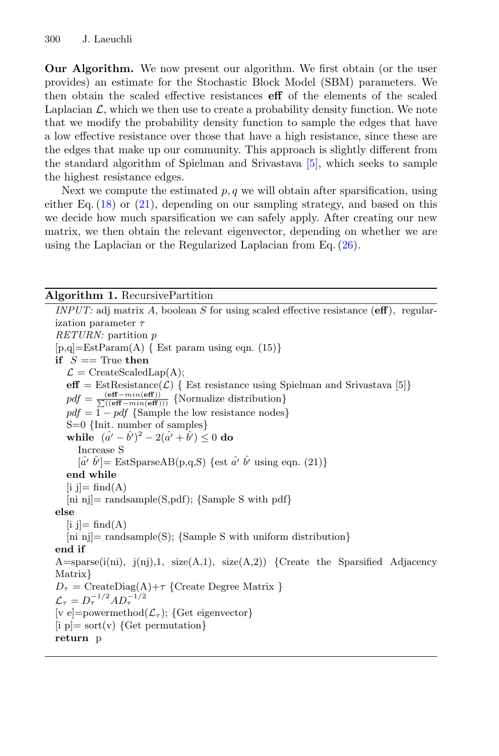**Our Algorithm.** We now present our algorithm. We first obtain (or the user provides) an estimate for the Stochastic Block Model (SBM) parameters. We then obtain the scaled effective resistances **eff** of the elements of the scaled Laplacian  $\mathcal{L}$ , which we then use to create a probability density function. We note that we modify the probability density function to sample the edges that have a low effective resistance over those that have a high resistance, since these are the edges that make up our community. This approach is slightly different from the standard algorithm of Spielman and Srivastava [\[5\]](#page-12-4), which seeks to sample the highest resistance edges.

Next we compute the estimated  $p, q$  we will obtain after sparsification, using either Eq. [\(18\)](#page-5-2) or [\(21\)](#page-6-0), depending on our sampling strategy, and based on this we decide how much sparsification we can safely apply. After creating our new matrix, we then obtain the relevant eigenvector, depending on whether we are using the Laplacian or the Regularized Laplacian from Eq. [\(26\)](#page-8-1).

#### **Algorithm 1.** RecursivePartition

*INPUT:* adj matrix A, boolean S for using scaled effective resistance (**eff**), regularization parameter  $\tau$ *RETURN:* partition p  $[p,q]=EstParam(A) \{ \text{Est param using eqn. } (15) \}$ **if**  $S \equiv$  True **then**  $\mathcal{L} = \text{CreateScaledLap}(A);$ **eff** = EstResistance( $\mathcal{L}$ ) { Est resistance using Spielman and Srivastava [5]}  $pdf = \frac{(\mathbf{eff} - min(\mathbf{eff}))}{\sum ((\mathbf{eff} - min(\mathbf{eff})))}$  {Normalize distribution}  $pdf = 1 - pdf$  {Sample the low resistance nodes} S=0 {Init. number of samples}  $\textbf{while} \ \ (\hat{a'} - \hat{b'})^2 - 2(\hat{a'} + \hat{b'}) \leq 0 \ \textbf{do}$ Increase S  $[\hat{a'} \ \hat{b'}]$  = EstSparseAB(p,q,S) {est  $\hat{a'} \ \hat{b'}$  using eqn. (21)} **end while**  $[i]$   $\equiv$  find(A) [ni nj] = randsample(S,pdf); {Sample S with pdf} **else**  $[i \text{ } j]= \text{find}(A)$ [ni nj] = randsample(S); {Sample S with uniform distribution} **end if**  $A=sparse(i(ni), j(nj),1, size(A,1), size(A,2))$  {Create the Sparsified Adjacency Matrix}  $D_{\tau}$  = CreateDiag(A)+ $\tau$  {Create Degree Matrix }  $\mathcal{L}_{\tau} = D_{\tau}^{-1/2}AD_{\tau}^{-1/2}$ [v e]=powermethod( $\mathcal{L}_{\tau}$ ); {Get eigenvector}  $[i]$  p  $=$  sort(v) {Get permutation} **return** p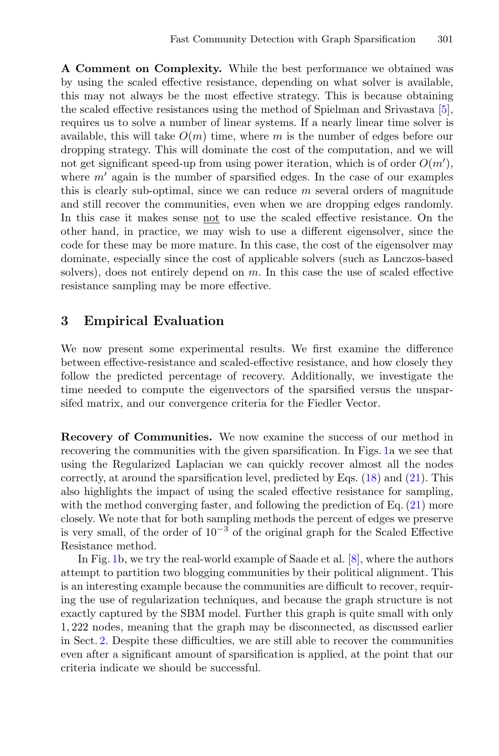**A Comment on Complexity.** While the best performance we obtained was by using the scaled effective resistance, depending on what solver is available, this may not always be the most effective strategy. This is because obtaining the scaled effective resistances using the method of Spielman and Srivastava [\[5\]](#page-12-4), requires us to solve a number of linear systems. If a nearly linear time solver is available, this will take  $O(m)$  time, where m is the number of edges before our dropping strategy. This will dominate the cost of the computation, and we will not get significant speed-up from using power iteration, which is of order  $O(m')$ , where  $m'$  again is the number of sparsified edges. In the case of our examples this is clearly sub-optimal, since we can reduce  $m$  several orders of magnitude and still recover the communities, even when we are dropping edges randomly. In this case it makes sense not to use the scaled effective resistance. On the other hand, in practice, we may wish to use a different eigensolver, since the code for these may be more mature. In this case, the cost of the eigensolver may dominate, especially since the cost of applicable solvers (such as Lanczos-based solvers), does not entirely depend on  $m$ . In this case the use of scaled effective resistance sampling may be more effective.

# **3 Empirical Evaluation**

We now present some experimental results. We first examine the difference between effective-resistance and scaled-effective resistance, and how closely they follow the predicted percentage of recovery. Additionally, we investigate the time needed to compute the eigenvectors of the sparsified versus the unsparsifed matrix, and our convergence criteria for the Fiedler Vector.

**Recovery of Communities.** We now examine the success of our method in recovering the communities with the given sparsification. In Figs. [1a](#page-11-0) we see that using the Regularized Laplacian we can quickly recover almost all the nodes correctly, at around the sparsification level, predicted by Eqs. [\(18\)](#page-5-2) and [\(21\)](#page-6-0). This also highlights the impact of using the scaled effective resistance for sampling, with the method converging faster, and following the prediction of Eq.  $(21)$  more closely. We note that for both sampling methods the percent of edges we preserve is very small, of the order of  $10^{-3}$  of the original graph for the Scaled Effective Resistance method.

In Fig. [1b](#page-11-0), we try the real-world example of Saade et al. [\[8](#page-13-9)], where the authors attempt to partition two blogging communities by their political alignment. This is an interesting example because the communities are difficult to recover, requiring the use of regularization techniques, and because the graph structure is not exactly captured by the SBM model. Further this graph is quite small with only 1, 222 nodes, meaning that the graph may be disconnected, as discussed earlier in Sect. [2.](#page-4-1) Despite these difficulties, we are still able to recover the communities even after a significant amount of sparsification is applied, at the point that our criteria indicate we should be successful.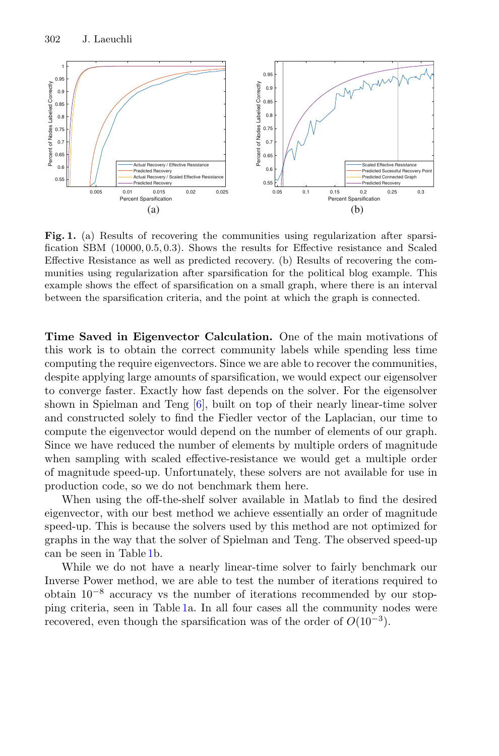

<span id="page-11-0"></span>Fig. 1. (a) Results of recovering the communities using regularization after sparsification SBM (10000, 0.5, 0.3). Shows the results for Effective resistance and Scaled Effective Resistance as well as predicted recovery. (b) Results of recovering the communities using regularization after sparsification for the political blog example. This example shows the effect of sparsification on a small graph, where there is an interval between the sparsification criteria, and the point at which the graph is connected.

**Time Saved in Eigenvector Calculation.** One of the main motivations of this work is to obtain the correct community labels while spending less time computing the require eigenvectors. Since we are able to recover the communities, despite applying large amounts of sparsification, we would expect our eigensolver to converge faster. Exactly how fast depends on the solver. For the eigensolver shown in Spielman and Teng [\[6\]](#page-12-5), built on top of their nearly linear-time solver and constructed solely to find the Fiedler vector of the Laplacian, our time to compute the eigenvector would depend on the number of elements of our graph. Since we have reduced the number of elements by multiple orders of magnitude when sampling with scaled effective-resistance we would get a multiple order of magnitude speed-up. Unfortunately, these solvers are not available for use in production code, so we do not benchmark them here.

When using the off-the-shelf solver available in Matlab to find the desired eigenvector, with our best method we achieve essentially an order of magnitude speed-up. This is because the solvers used by this method are not optimized for graphs in the way that the solver of Spielman and Teng. The observed speed-up can be seen in Table [1b](#page-12-6).

While we do not have a nearly linear-time solver to fairly benchmark our Inverse Power method, we are able to test the number of iterations required to obtain 10−<sup>8</sup> accuracy vs the number of iterations recommended by our stopping criteria, seen in Table [1a](#page-12-6). In all four cases all the community nodes were recovered, even though the sparsification was of the order of  $O(10^{-3})$ .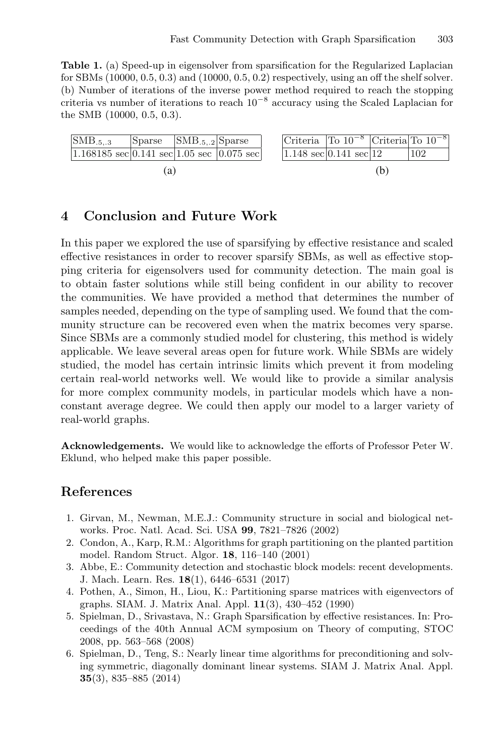<span id="page-12-6"></span>**Table 1.** (a) Speed-up in eigensolver from sparsification for the Regularized Laplacian for SBMs (10000, 0.5, 0.3) and (10000, 0.5, 0.2) respectively, using an off the shelf solver. (b) Number of iterations of the inverse power method required to reach the stopping criteria vs number of iterations to reach  $10^{-8}$  accuracy using the Scaled Laplacian for the SMB (10000, 0.5, 0.3).

| $\vert$ SMB <sub>.5</sub> 3<br>Sparse                                         | $\vert$ SMB <sub>.5.,2</sub> $\vert$ Sparse | Criteria $\Gamma$ <sup>5</sup> Criteria $\Gamma$ <sup>5</sup> |
|-------------------------------------------------------------------------------|---------------------------------------------|---------------------------------------------------------------|
| $ 1.168185 \text{ sec} 0.141 \text{ sec} 1.05 \text{ sec} 0.075 \text{ sec} $ |                                             | $ 1.148 \text{ sec} 0.141 \text{ sec} 12$<br>102              |
| (a)                                                                           |                                             | (b)                                                           |

# **4 Conclusion and Future Work**

In this paper we explored the use of sparsifying by effective resistance and scaled effective resistances in order to recover sparsify SBMs, as well as effective stopping criteria for eigensolvers used for community detection. The main goal is to obtain faster solutions while still being confident in our ability to recover the communities. We have provided a method that determines the number of samples needed, depending on the type of sampling used. We found that the community structure can be recovered even when the matrix becomes very sparse. Since SBMs are a commonly studied model for clustering, this method is widely applicable. We leave several areas open for future work. While SBMs are widely studied, the model has certain intrinsic limits which prevent it from modeling certain real-world networks well. We would like to provide a similar analysis for more complex community models, in particular models which have a nonconstant average degree. We could then apply our model to a larger variety of real-world graphs.

**Acknowledgements.** We would like to acknowledge the efforts of Professor Peter W. Eklund, who helped make this paper possible.

# **References**

- <span id="page-12-0"></span>1. Girvan, M., Newman, M.E.J.: Community structure in social and biological networks. Proc. Natl. Acad. Sci. USA **99**, 7821–7826 (2002)
- <span id="page-12-2"></span>2. Condon, A., Karp, R.M.: Algorithms for graph partitioning on the planted partition model. Random Struct. Algor. **18**, 116–140 (2001)
- <span id="page-12-1"></span>3. Abbe, E.: Community detection and stochastic block models: recent developments. J. Mach. Learn. Res. **18**(1), 6446–6531 (2017)
- <span id="page-12-3"></span>4. Pothen, A., Simon, H., Liou, K.: Partitioning sparse matrices with eigenvectors of graphs. SIAM. J. Matrix Anal. Appl. **11**(3), 430–452 (1990)
- <span id="page-12-4"></span>5. Spielman, D., Srivastava, N.: Graph Sparsification by effective resistances. In: Proceedings of the 40th Annual ACM symposium on Theory of computing, STOC 2008, pp. 563–568 (2008)
- <span id="page-12-5"></span>6. Spielman, D., Teng, S.: Nearly linear time algorithms for preconditioning and solving symmetric, diagonally dominant linear systems. SIAM J. Matrix Anal. Appl. **35**(3), 835–885 (2014)